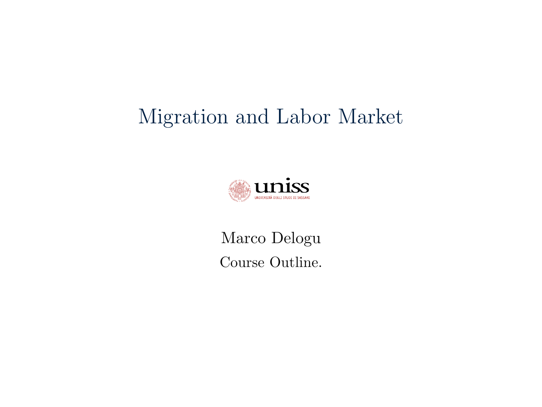## Migration and Labor Market



Marco Delogu Course Outline.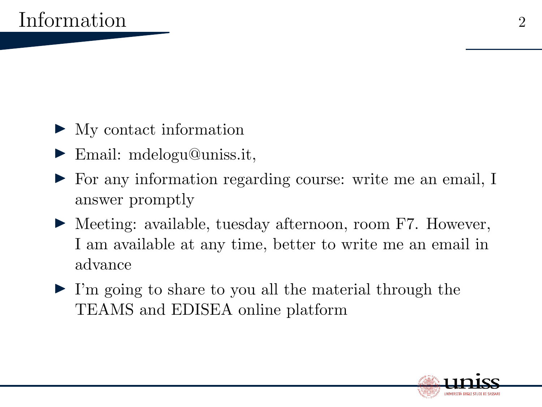- $\blacktriangleright$  My contact information
- $\blacktriangleright$  Email: mdelogu@uniss.it,
- I For any information regarding course: write me an email, I answer promptly
- ▶ Meeting: available, tuesday afternoon, room F7. However, I am available at any time, better to write me an email in advance
- $\blacktriangleright$  I'm going to share to you all the material through the TEAMS and EDISEA online platform

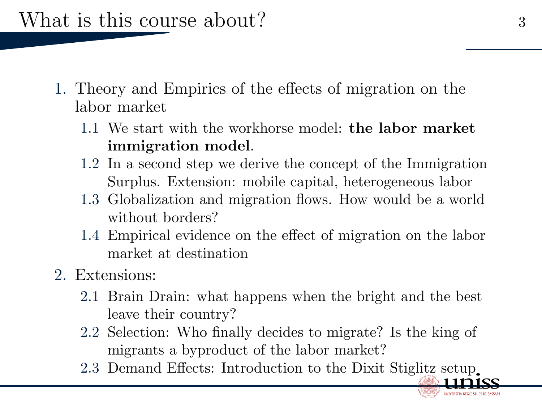What is this course about? 3

- 1. Theory and Empirics of the effects of migration on the labor market
	- 1.1 We start with the workhorse model: the labor market immigration model.
	- 1.2 In a second step we derive the concept of the Immigration Surplus. Extension: mobile capital, heterogeneous labor
	- 1.3 Globalization and migration flows. How would be a world without borders?
	- 1.4 Empirical evidence on the effect of migration on the labor market at destination
- 2. Extensions:
	- 2.1 Brain Drain: what happens when the bright and the best leave their country?
	- 2.2 Selection: Who finally decides to migrate? Is the king of migrants a byproduct of the labor market?
	- 2.3 Demand Effects: Introduction to the Dixit Stiglitz setup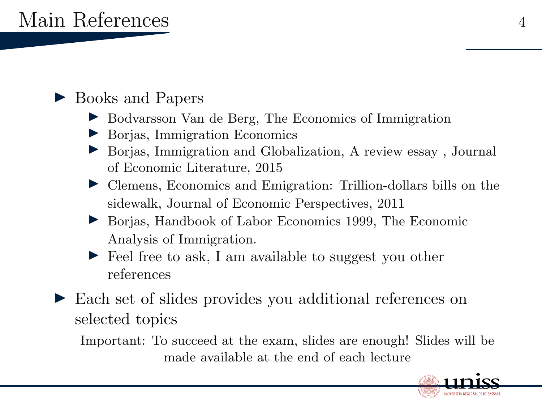## ▶ Books and Papers

- ▶ Bodvarsson Van de Berg, The Economics of Immigration
- $\triangleright$  Borjas, Immigration Economics
- ▶ Borjas, Immigration and Globalization, A review essay, Journal of Economic Literature, 2015
- I Clemens, Economics and Emigration: Trillion-dollars bills on the sidewalk, Journal of Economic Perspectives, 2011
- ▶ Borjas, Handbook of Labor Economics 1999, The Economic Analysis of Immigration.
- $\blacktriangleright$  Feel free to ask, I am available to suggest you other references
- ► Each set of slides provides you additional references on selected topics

Important: To succeed at the exam, slides are enough! Slides will be made available at the end of each lecture

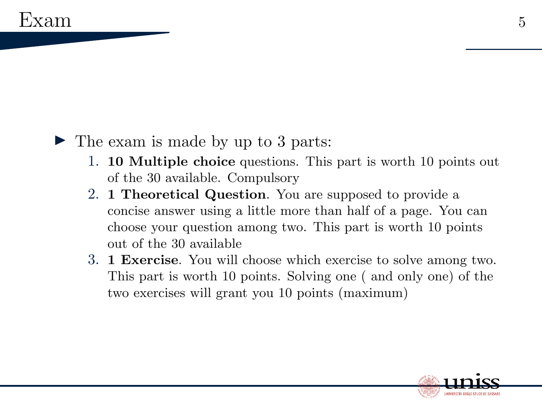## $\blacktriangleright$  The exam is made by up to 3 parts:

- 1. 10 Multiple choice questions. This part is worth 10 points out of the 30 available. Compulsory
- 2. 1 Theoretical Question. You are supposed to provide a concise answer using a little more than half of a page. You can choose your question among two. This part is worth 10 points out of the 30 available
- 3. 1 Exercise. You will choose which exercise to solve among two. This part is worth 10 points. Solving one ( and only one) of the two exercises will grant you 10 points (maximum)